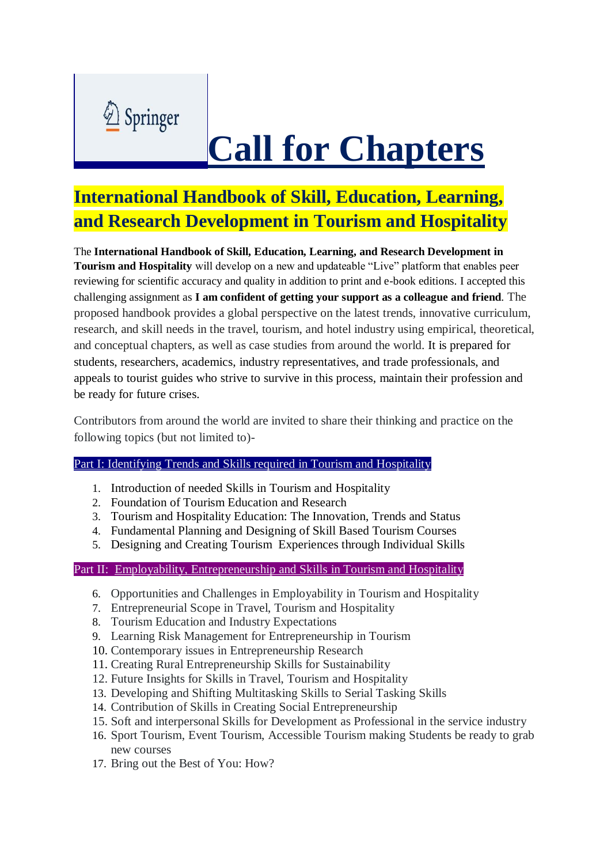

# **Call for Chapters**

# **International Handbook of Skill, Education, Learning, and Research Development in Tourism and Hospitality**

The **International Handbook of Skill, Education, Learning, and Research Development in Tourism and Hospitality** will develop on a new and updateable "Live" platform that enables peer reviewing for scientific accuracy and quality in addition to print and e-book editions. I accepted this challenging assignment as **I am confident of getting your support as a colleague and friend**. The proposed handbook provides a global perspective on the latest trends, innovative curriculum, research, and skill needs in the travel, tourism, and hotel industry using empirical, theoretical, and conceptual chapters, as well as case studies from around the world. It is prepared for students, researchers, academics, industry representatives, and trade professionals, and appeals to tourist guides who strive to survive in this process, maintain their profession and be ready for future crises.

Contributors from around the world are invited to share their thinking and practice on the following topics (but not limited to)-

## Part I: Identifying Trends and Skills required in Tourism and Hospitality

- 1. Introduction of needed Skills in Tourism and Hospitality
- 2. Foundation of Tourism Education and Research
- 3. Tourism and Hospitality Education: The Innovation, Trends and Status
- 4. Fundamental Planning and Designing of Skill Based Tourism Courses
- 5. Designing and Creating Tourism Experiences through Individual Skills

### Part II: Employability, Entrepreneurship and Skills in Tourism and Hospitality

- 6. Opportunities and Challenges in Employability in Tourism and Hospitality
- 7. Entrepreneurial Scope in Travel, Tourism and Hospitality
- 8. Tourism Education and Industry Expectations
- 9. Learning Risk Management for Entrepreneurship in Tourism
- 10. Contemporary issues in Entrepreneurship Research
- 11. Creating Rural Entrepreneurship Skills for Sustainability
- 12. Future Insights for Skills in Travel, Tourism and Hospitality
- 13. Developing and Shifting Multitasking Skills to Serial Tasking Skills
- 14. Contribution of Skills in Creating Social Entrepreneurship
- 15. Soft and interpersonal Skills for Development as Professional in the service industry
- 16. Sport Tourism, Event Tourism, Accessible Tourism making Students be ready to grab new courses
- 17. Bring out the Best of You: How?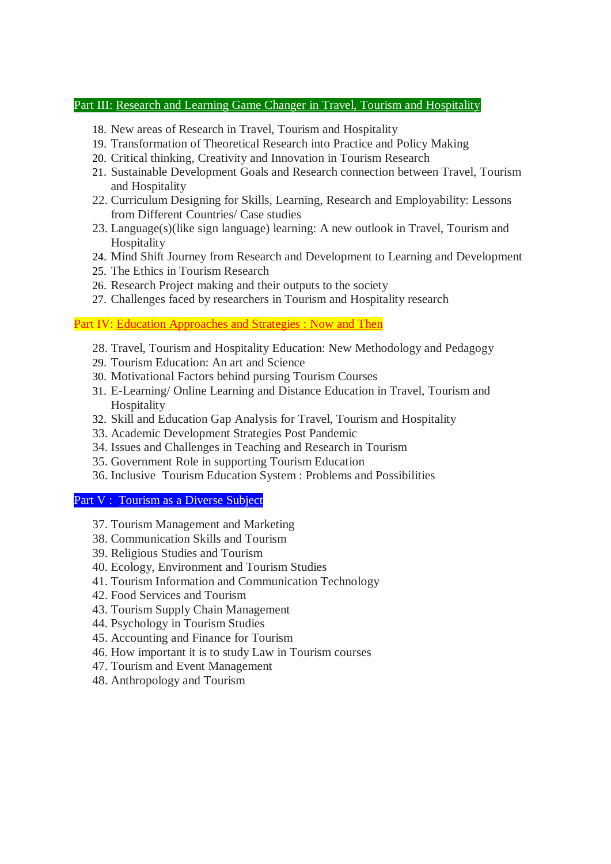#### Part III: Research and Learning Game Changer in Travel, Tourism and Hospitality

- 18. New areas of Research in Travel, Tourism and Hospitality
- 19. Transformation of Theoretical Research into Practice and Policy Making
- 20. Critical thinking, Creativity and Innovation in Tourism Research
- 21. Sustainable Development Goals and Research connection between Travel, Tourism and Hospitality
- 22. Curriculum Designing for Skills, Learning, Research and Employability: Lessons from Different Countries/ Case studies
- 23. Language(s)(like sign language) learning: A new outlook in Travel, Tourism and **Hospitality**
- 24. Mind Shift Journey from Research and Development to Learning and Development
- 25. The Ethics in Tourism Research
- 26. Research Project making and their outputs to the society
- 27. Challenges faced by researchers in Tourism and Hospitality research

Part IV: Education Approaches and Strategies : Now and Then

- 28. Travel, Tourism and Hospitality Education: New Methodology and Pedagogy
- 29. Tourism Education: An art and Science
- 30. Motivational Factors behind pursing Tourism Courses
- 31. E-Learning/ Online Learning and Distance Education in Travel, Tourism and Hospitality
- 32. Skill and Education Gap Analysis for Travel, Tourism and Hospitality
- 33. Academic Development Strategies Post Pandemic
- 34. Issues and Challenges in Teaching and Research in Tourism
- 35. Government Role in supporting Tourism Education
- 36. Inclusive Tourism Education System : Problems and Possibilities

#### Part V : Tourism as a Diverse Subject

- 37. Tourism Management and Marketing
- 38. Communication Skills and Tourism
- 39. Religious Studies and Tourism
- 40. Ecology, Environment and Tourism Studies
- 41. Tourism Information and Communication Technology
- 42. Food Services and Tourism
- 43. Tourism Supply Chain Management
- 44. Psychology in Tourism Studies
- 45. Accounting and Finance for Tourism
- 46. How important it is to study Law in Tourism courses
- 47. Tourism and Event Management
- 48. Anthropology and Tourism